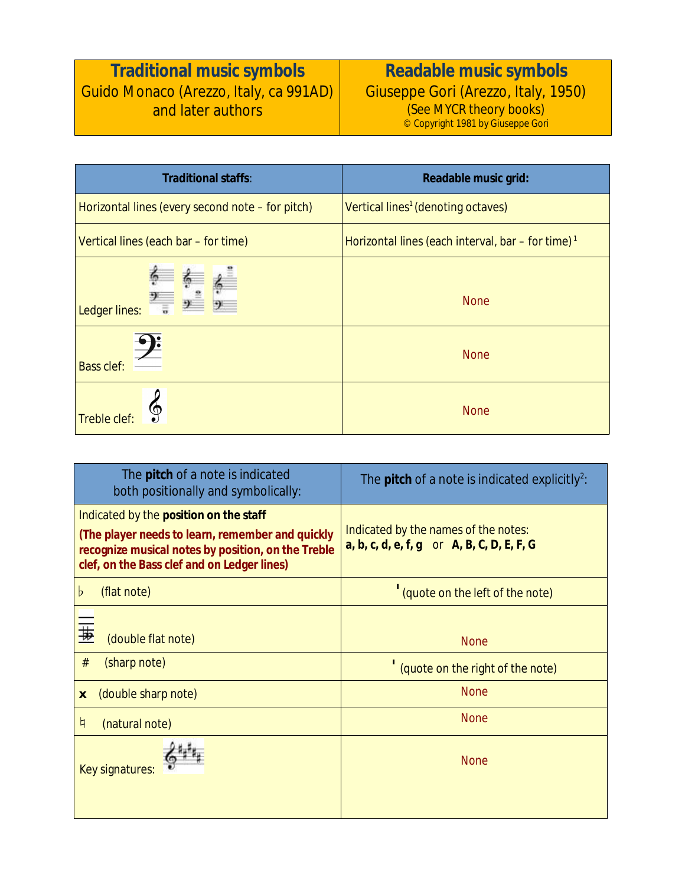## **Traditional music symbols** Guido Monaco (Arezzo, Italy, ca 991AD) and later authors

**Readable music symbols** Giuseppe Gori (Arezzo, Italy, 1950) (See MYCR theory books) © Copyright 1981 by Giuseppe Gori

| <b>Traditional staffs:</b>                       | Readable music grid:                                          |
|--------------------------------------------------|---------------------------------------------------------------|
| Horizontal lines (every second note - for pitch) | Vertical lines <sup>1</sup> (denoting octaves)                |
| Vertical lines (each bar – for time)             | Horizontal lines (each interval, bar – for time) <sup>1</sup> |
| Ledger lines:                                    | <b>None</b>                                                   |
| <b>Bass clef:</b>                                | <b>None</b>                                                   |
| <b>Treble clef</b>                               | <b>None</b>                                                   |

| The <b>pitch</b> of a note is indicated<br>both positionally and symbolically:                                                                                                                         | The <b>pitch</b> of a note is indicated explicitly <sup>2</sup> :                      |
|--------------------------------------------------------------------------------------------------------------------------------------------------------------------------------------------------------|----------------------------------------------------------------------------------------|
| Indicated by the <b>position on the staff</b><br>(The player needs to learn, remember and quickly<br>recognize musical notes by position, on the Treble<br>clef, on the Bass clef and on Ledger lines) | Indicated by the names of the notes:<br>$a, b, c, d, e, f, g$ or $A, B, C, D, E, F, G$ |
| (flat note)<br>b                                                                                                                                                                                       | (quote on the left of the note)                                                        |
| (double flat note)<br>$\#$<br>(sharp note)<br>(double sharp note)<br>$\boldsymbol{x}$                                                                                                                  | <b>None</b><br>(quote on the right of the note)<br><b>None</b>                         |
| q<br>(natural note)                                                                                                                                                                                    | <b>None</b>                                                                            |
| <b>Key signatures:</b>                                                                                                                                                                                 | <b>None</b>                                                                            |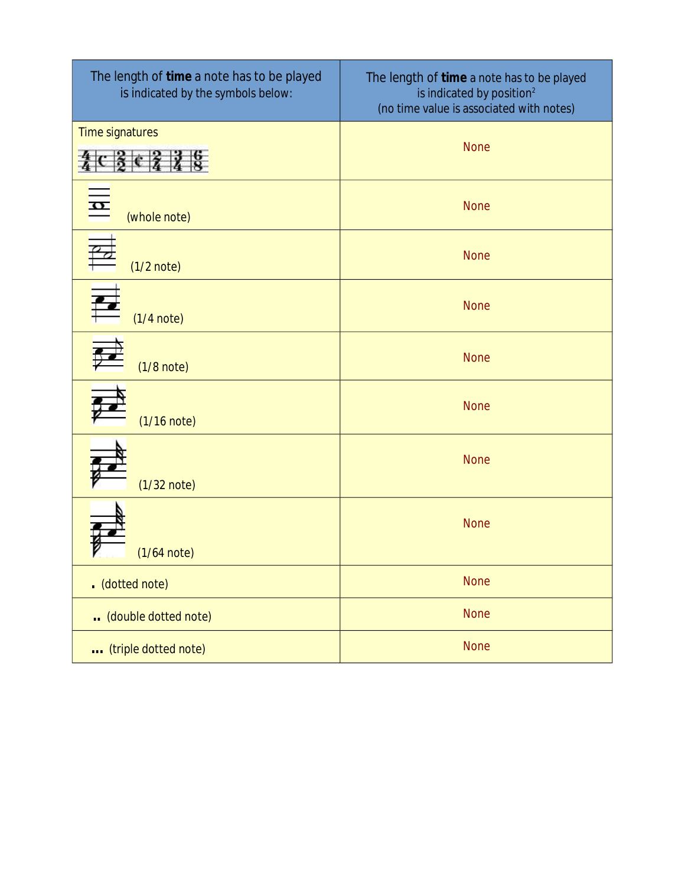| The length of time a note has to be played<br>is indicated by the symbols below: | The length of time a note has to be played<br>is indicated by position <sup>2</sup><br>(no time value is associated with notes) |
|----------------------------------------------------------------------------------|---------------------------------------------------------------------------------------------------------------------------------|
| Time signatures                                                                  | <b>None</b>                                                                                                                     |
| $\frac{1}{\alpha}$<br>(whole note)                                               | <b>None</b>                                                                                                                     |
| $(1/2$ note)                                                                     | <b>None</b>                                                                                                                     |
| E<br>$(1/4$ note)                                                                | <b>None</b>                                                                                                                     |
| $(1/8$ note)                                                                     | <b>None</b>                                                                                                                     |
| $(1/16$ note)                                                                    | <b>None</b>                                                                                                                     |
| $(1/32$ note)                                                                    | <b>None</b>                                                                                                                     |
| $(1/64$ note)                                                                    | <b>None</b>                                                                                                                     |
| . (dotted note)                                                                  | <b>None</b>                                                                                                                     |
| (double dotted note)                                                             | <b>None</b>                                                                                                                     |
| (triple dotted note)                                                             | <b>None</b>                                                                                                                     |